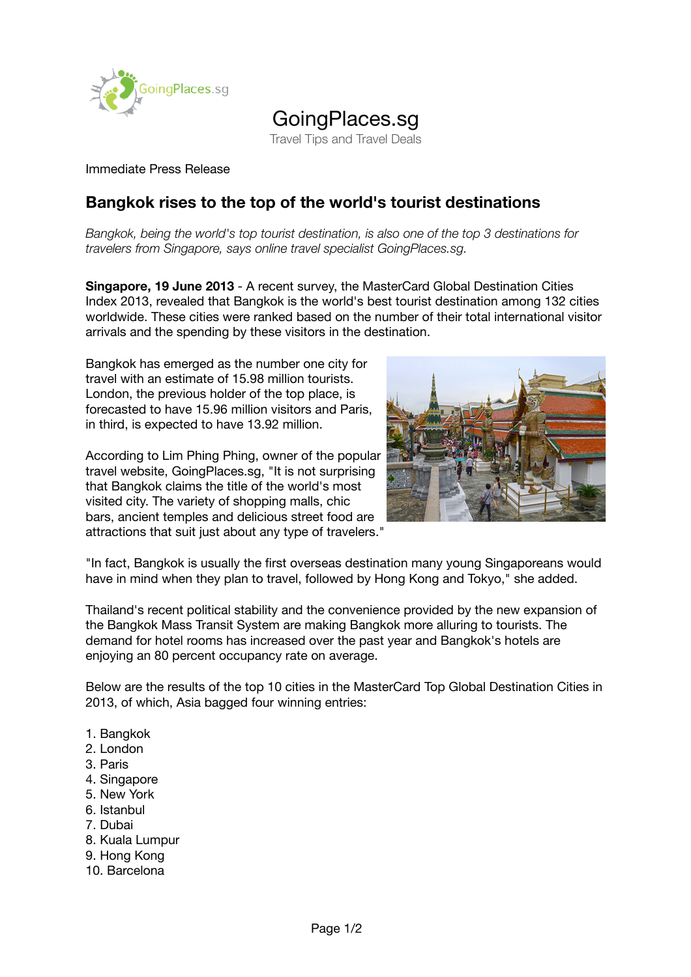

## GoingPlaces.sg

Travel Tips and Travel Deals

## Immediate Press Release

## **Bangkok rises to the top of the world's tourist destinations**

*Bangkok, being the world's top tourist destination, is also one of the top 3 destinations for travelers from Singapore, says online travel specialist GoingPlaces.sg.*

**Singapore, 19 June 2013** - A recent survey, the MasterCard Global Destination Cities Index 2013, revealed that Bangkok is the world's best tourist destination among 132 cities worldwide. These cities were ranked based on the number of their total international visitor arrivals and the spending by these visitors in the destination.

Bangkok has emerged as the number one city for travel with an estimate of 15.98 million tourists. London, the previous holder of the top place, is forecasted to have 15.96 million visitors and Paris, in third, is expected to have 13.92 million.

According to Lim Phing Phing, owner of the popular travel website, GoingPlaces.sg, "It is not surprising that Bangkok claims the title of the world's most visited city. The variety of shopping malls, chic bars, ancient temples and delicious street food are attractions that suit just about any type of travelers."



"In fact, Bangkok is usually the first overseas destination many young Singaporeans would have in mind when they plan to travel, followed by Hong Kong and Tokyo," she added.

Thailand's recent political stability and the convenience provided by the new expansion of the Bangkok Mass Transit System are making Bangkok more alluring to tourists. The demand for hotel rooms has increased over the past year and Bangkok's hotels are enjoying an 80 percent occupancy rate on average.

Below are the results of the top 10 cities in the MasterCard Top Global Destination Cities in 2013, of which, Asia bagged four winning entries:

- 1. Bangkok
- 2. London
- 3. Paris
- 4. Singapore
- 5. New York
- 6. Istanbul
- 7. Dubai
- 8. Kuala Lumpur
- 9. Hong Kong
- 10. Barcelona